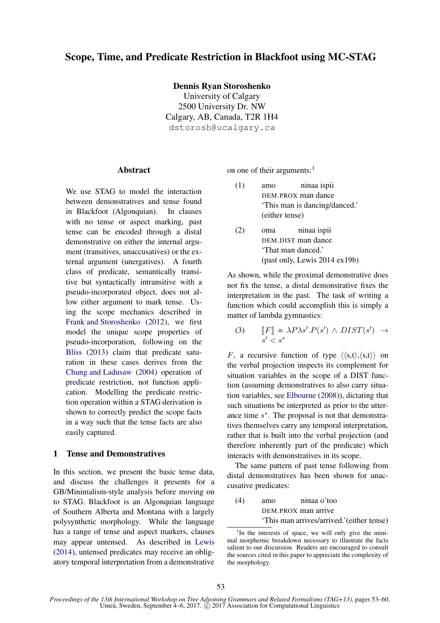Dennis Ryan Storoshenko

University of Calgary 2500 University Dr. NW Calgary, AB, Canada, T2R 1H4 dstorosh@ucalgary.ca

# Abstract

We use STAG to model the interaction between demonstratives and tense found in Blackfoot (Algonquian). In clauses with no tense or aspect marking, past tense can be encoded through a distal demonstrative on either the internal argument (transitives, unaccusatives) or the external argument (unergatives). A fourth class of predicate, semantically transitive but syntactically intransitive with a pseudo-incorporated object, does not allow either argument to mark tense. Using the scope mechanics described in Frank and Storoshenko (2012), we first model the unique scope properties of pseudo-incorporation, following on the Bliss (2013) claim that predicate saturation in these cases derives from the Chung and Ladusaw (2004) operation of predicate restriction, not function application. Modelling the predicate restriction operation within a STAG derivation is shown to correctly predict the scope facts in a way such that the tense facts are also easily captured.

# 1 Tense and Demonstratives

In this section, we present the basic tense data, and discuss the challenges it presents for a GB/Minimalism-style analysis before moving on to STAG. Blackfoot is an Algonquian language of Southern Alberta and Montana with a largely polysynthetic morphology. While the language has a range of tense and aspect markers, clauses may appear untensed. As described in Lewis (2014), untensed predicates may receive an obligatory temporal interpretation from a demonstrative on one of their arguments: $<sup>1</sup>$ </sup>

- (1) amo ninaa ispii DEM.PROX man dance 'This man is dancing/danced.' (either tense)
- (2) oma ninaa ispii DEM.DIST man dance 'That man danced.' (past only, Lewis 2014 ex19b)

As shown, while the proximal demonstrative does not fix the tense, a distal demonstrative fixes the interpretation in the past. The task of writing a function which could accomplish this is simply a matter of lambda gymnastics:

(3) 
$$
\llbracket F \rrbracket = \lambda P \lambda s'. P(s') \land DIST(s') \rightarrow s' < s^* \quad \text{if } s' > T(s') \rightarrow s' \land T(s') \land T(s')
$$

F, a recursive function of type  $\langle \langle s,t \rangle, \langle s,t \rangle \rangle$  on the verbal projection inspects its complement for situation variables in the scope of a DIST function (assuming demonstratives to also carry situation variables, see Elbourne (2008)), dictating that such situations be interpreted as prior to the utterance time  $s^*$ . The proposal is not that demonstratives themselves carry any temporal interpretation, rather that is built into the verbal projection (and therefore inherently part of the predicate) which interacts with demonstratives in its scope.

The same pattern of past tense following from distal demonstratives has been shown for unaccusative predicates:

(4) 
$$
\text{amo} \quad \text{ninaa o'too}
$$

\nDEM.PROX man arrive

\n"This man arrives/arrived." (either tense)

<sup>&</sup>lt;sup>1</sup>In the interests of space, we will only give the minimal morphemic breakdown necessary to illustrate the facts salient to our discussion. Readers are encouraged to consult the sources cited in this paper to appreciate the complexity of the morphology.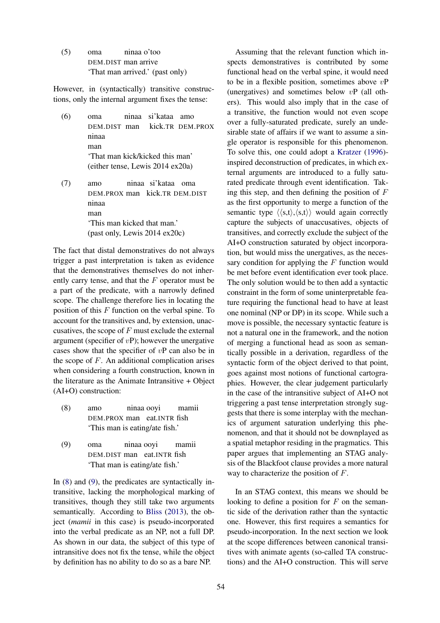(5) oma ninaa o'too DEM.DIST man arrive 'That man arrived.' (past only)

However, in (syntactically) transitive constructions, only the internal argument fixes the tense:

- (6) oma ninaa si'kataa amo DEM.DIST man kick.TR DEM.PROX ninaa man 'That man kick/kicked this man' (either tense, Lewis 2014 ex20a)
- (7) amo ninaa si'kataa oma DEM.PROX man kick.TR DEM.DIST ninaa man 'This man kicked that man.' (past only, Lewis 2014 ex20c)

The fact that distal demonstratives do not always trigger a past interpretation is taken as evidence that the demonstratives themselves do not inherently carry tense, and that the F operator must be a part of the predicate, with a narrowly defined scope. The challenge therefore lies in locating the position of this  $F$  function on the verbal spine. To account for the transitives and, by extension, unaccusatives, the scope of  $F$  must exclude the external argument (specifier of  $v$ P); however the unergative cases show that the specifier of  $vP$  can also be in the scope of  $F$ . An additional complication arises when considering a fourth construction, known in the literature as the Animate Intransitive + Object (AI+O) construction:

- (8) amo ninaa ooyi mamii DEM.PROX man eat.INTR fish 'This man is eating/ate fish.'
- (9) oma ninaa ooyi mamii DEM.DIST man eat.INTR fish 'That man is eating/ate fish.'

In (8) and (9), the predicates are syntactically intransitive, lacking the morphological marking of transitives, though they still take two arguments semantically. According to Bliss (2013), the object (*mamii* in this case) is pseudo-incorporated into the verbal predicate as an NP, not a full DP. As shown in our data, the subject of this type of intransitive does not fix the tense, while the object by definition has no ability to do so as a bare NP.

Assuming that the relevant function which inspects demonstratives is contributed by some functional head on the verbal spine, it would need to be in a flexible position, sometimes above  $v\mathbf{P}$ (unergatives) and sometimes below vP (all others). This would also imply that in the case of a transitive, the function would not even scope over a fully-saturated predicate, surely an undesirable state of affairs if we want to assume a single operator is responsible for this phenomenon. To solve this, one could adopt a Kratzer (1996) inspired deconstruction of predicates, in which external arguments are introduced to a fully saturated predicate through event identification. Taking this step, and then defining the position of  $F$ as the first opportunity to merge a function of the semantic type  $\langle \langle s,t \rangle, \langle s,t \rangle \rangle$  would again correctly capture the subjects of unaccusatives, objects of transitives, and correctly exclude the subject of the AI+O construction saturated by object incorporation, but would miss the unergatives, as the necessary condition for applying the  $F$  function would be met before event identification ever took place. The only solution would be to then add a syntactic constraint in the form of some uninterpretable feature requiring the functional head to have at least one nominal (NP or DP) in its scope. While such a move is possible, the necessary syntactic feature is not a natural one in the framework, and the notion of merging a functional head as soon as semantically possible in a derivation, regardless of the syntactic form of the object derived to that point, goes against most notions of functional cartographies. However, the clear judgement particularly in the case of the intransitive subject of AI+O not triggering a past tense interpretation strongly suggests that there is some interplay with the mechanics of argument saturation underlying this phenomenon, and that it should not be downplayed as a spatial metaphor residing in the pragmatics. This paper argues that implementing an STAG analysis of the Blackfoot clause provides a more natural way to characterize the position of F.

In an STAG context, this means we should be looking to define a position for  $F$  on the semantic side of the derivation rather than the syntactic one. However, this first requires a semantics for pseudo-incorporation. In the next section we look at the scope differences between canonical transitives with animate agents (so-called TA constructions) and the AI+O construction. This will serve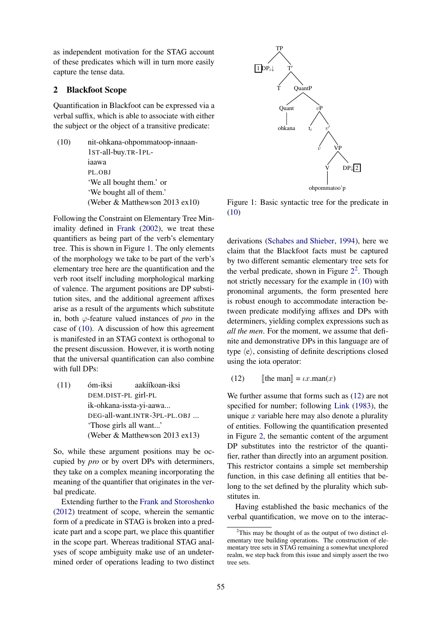as independent motivation for the STAG account of these predicates which will in turn more easily capture the tense data.

## 2 Blackfoot Scope

Quantification in Blackfoot can be expressed via a verbal suffix, which is able to associate with either the subject or the object of a transitive predicate:

(10) nit-ohkana-ohpommatoop-innaan-1ST-all-buy.TR-1PLiaawa PL.OBJ 'We all bought them.' or 'We bought all of them.' (Weber & Matthewson 2013 ex10)

Following the Constraint on Elementary Tree Minimality defined in Frank (2002), we treat these quantifiers as being part of the verb's elementary tree. This is shown in Figure 1. The only elements of the morphology we take to be part of the verb's elementary tree here are the quantification and the verb root itself including morphological marking of valence. The argument positions are DP substitution sites, and the additional agreement affixes arise as a result of the arguments which substitute in, both  $\varphi$ -feature valued instances of *pro* in the case of (10). A discussion of how this agreement is manifested in an STAG context is orthogonal to the present discussion. However, it is worth noting that the universal quantification can also combine with full DPs:

(11) óm-iksi aakííkoan-iksi DEM.DIST-PL girl-PL ik-ohkana-issta-yi-aawa... DEG-all-want.INTR-3PL-PL.OBJ ... 'Those girls all want...' (Weber & Matthewson 2013 ex13)

So, while these argument positions may be occupied by *pro* or by overt DPs with determiners, they take on a complex meaning incorporating the meaning of the quantifier that originates in the verbal predicate.

Extending further to the Frank and Storoshenko (2012) treatment of scope, wherein the semantic form of a predicate in STAG is broken into a predicate part and a scope part, we place this quantifier in the scope part. Whereas traditional STAG analyses of scope ambiguity make use of an undetermined order of operations leading to two distinct



Figure 1: Basic syntactic tree for the predicate in (10)

derivations (Schabes and Shieber, 1994), here we claim that the Blackfoot facts must be captured by two different semantic elementary tree sets for the verbal predicate, shown in Figure  $2^2$ . Though not strictly necessary for the example in (10) with pronominal arguments, the form presented here is robust enough to accommodate interaction between predicate modifying affixes and DPs with determiners, yielding complex expressions such as *all the men*. For the moment, we assume that definite and demonstrative DPs in this language are of type  $\langle e \rangle$ , consisting of definite descriptions closed using the iota operator:

(12)  $\text{[the man]} = \iota x \cdot \text{man}(x)$ 

We further assume that forms such as  $(12)$  are not specified for number; following Link (1983), the unique  $x$  variable here may also denote a plurality of entities. Following the quantification presented in Figure 2, the semantic content of the argument DP substitutes into the restrictor of the quantifier, rather than directly into an argument position. This restrictor contains a simple set membership function, in this case defining all entities that belong to the set defined by the plurality which substitutes in.

Having established the basic mechanics of the verbal quantification, we move on to the interac-

<sup>2</sup>This may be thought of as the output of two distinct elementary tree building operations. The construction of elementary tree sets in STAG remaining a somewhat unexplored realm, we step back from this issue and simply assert the two tree sets.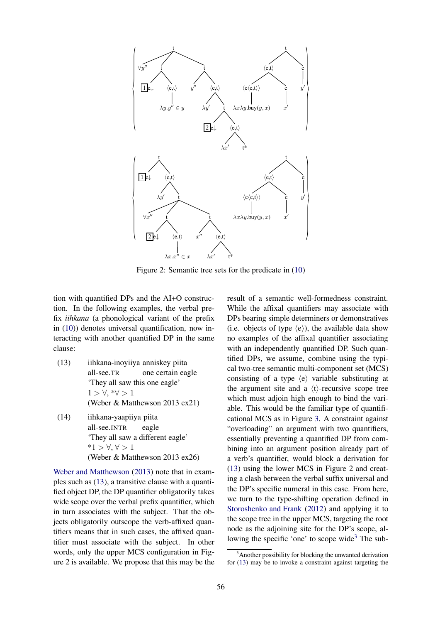

Figure 2: Semantic tree sets for the predicate in (10)

tion with quantified DPs and the AI+O construction. In the following examples, the verbal prefix *iihkana* (a phonological variant of the prefix in (10)) denotes universal quantification, now interacting with another quantified DP in the same clause:

- (13) iihkana-inoyiiya anniskey piita all-see.TR one certain eagle 'They all saw this one eagle'  $1 > \forall, *\forall > 1$ (Weber & Matthewson 2013 ex21)
- (14) iihkana-yaapiiya piita all-see.INTR eagle 'They all saw a different eagle' \*1 > ∀, ∀ > 1 (Weber & Matthewson 2013 ex26)

Weber and Matthewson (2013) note that in examples such as (13), a transitive clause with a quantified object DP, the DP quantifier obligatorily takes wide scope over the verbal prefix quantifier, which in turn associates with the subject. That the objects obligatorily outscope the verb-affixed quantifiers means that in such cases, the affixed quantifier must associate with the subject. In other words, only the upper MCS configuration in Figure 2 is available. We propose that this may be the

result of a semantic well-formedness constraint. While the affixal quantifiers may associate with DPs bearing simple determiners or demonstratives (i.e. objects of type  $\langle e \rangle$ ), the available data show no examples of the affixal quantifier associating with an independently quantified DP. Such quantified DPs, we assume, combine using the typical two-tree semantic multi-component set (MCS) consisting of a type  $\langle e \rangle$  variable substituting at the argument site and a  $\langle t \rangle$ -recursive scope tree which must adjoin high enough to bind the variable. This would be the familiar type of quantificational MCS as in Figure 3. A constraint against "overloading" an argument with two quantifiers, essentially preventing a quantified DP from combining into an argument position already part of a verb's quantifier, would block a derivation for (13) using the lower MCS in Figure 2 and creating a clash between the verbal suffix universal and the DP's specific numeral in this case. From here, we turn to the type-shifting operation defined in Storoshenko and Frank (2012) and applying it to the scope tree in the upper MCS, targeting the root node as the adjoining site for the DP's scope, allowing the specific 'one' to scope wide<sup>3</sup> The sub-

<sup>&</sup>lt;sup>3</sup>Another possibility for blocking the unwanted derivation for (13) may be to invoke a constraint against targeting the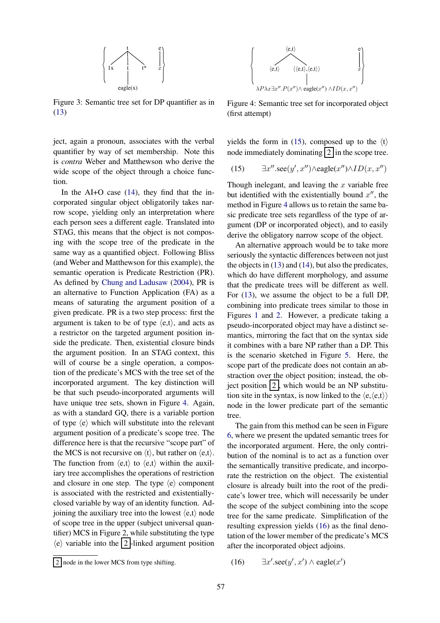

Figure 3: Semantic tree set for DP quantifier as in (13)

ject, again a pronoun, associates with the verbal quantifier by way of set membership. Note this is *contra* Weber and Matthewson who derive the wide scope of the object through a choice function.

In the AI+O case (14), they find that the incorporated singular object obligatorily takes narrow scope, yielding only an interpretation where each person sees a different eagle. Translated into STAG, this means that the object is not composing with the scope tree of the predicate in the same way as a quantified object. Following Bliss (and Weber and Matthewson for this example), the semantic operation is Predicate Restriction (PR). As defined by Chung and Ladusaw (2004), PR is an alternative to Function Application (FA) as a means of saturating the argument position of a given predicate. PR is a two step process: first the argument is taken to be of type  $\langle e, t \rangle$ , and acts as a restrictor on the targeted argument position inside the predicate. Then, existential closure binds the argument position. In an STAG context, this will of course be a single operation, a compostion of the predicate's MCS with the tree set of the incorporated argument. The key distinction will be that such pseudo-incorporated arguments will have unique tree sets, shown in Figure 4. Again, as with a standard GQ, there is a variable portion of type  $\langle e \rangle$  which will substitute into the relevant argument position of a predicate's scope tree. The difference here is that the recursive "scope part" of the MCS is not recursive on  $\langle t \rangle$ , but rather on  $\langle e, t \rangle$ . The function from  $\langle e, t \rangle$  to  $\langle e, t \rangle$  within the auxiliary tree accomplishes the operations of restriction and closure in one step. The type  $\langle e \rangle$  component is associated with the restricted and existentiallyclosed variable by way of an identity function. Adjoining the auxiliary tree into the lowest  $\langle e, t \rangle$  node of scope tree in the upper (subject universal quantifier) MCS in Figure 2, while substituting the type  $\langle e \rangle$  variable into the 2-linked argument position



Figure 4: Semantic tree set for incorporated object (first attempt)

yields the form in (15), composed up to the  $\langle t \rangle$ node immediately dominating  $2 \ln$  the scope tree.

(15) 
$$
\exists x''.\sec(y',x'') \land \text{eagle}(x'') \land ID(x,x'')
$$

Though inelegant, and leaving the  $x$  variable free but identified with the existentially bound  $x''$ , the method in Figure 4 allows us to retain the same basic predicate tree sets regardless of the type of argument (DP or incorporated object), and to easily derive the obligatory narrow scope of the object.

An alternative approach would be to take more seriously the syntactic differences between not just the objects in (13) and (14), but also the predicates, which do have different morphology, and assume that the predicate trees will be different as well. For (13), we assume the object to be a full DP, combining into predicate trees similar to those in Figures 1 and 2. However, a predicate taking a pseudo-incorporated object may have a distinct semantics, mirroring the fact that on the syntax side it combines with a bare NP rather than a DP. This is the scenario sketched in Figure 5. Here, the scope part of the predicate does not contain an abstraction over the object position; instead, the object position  $2$ , which would be an NP substitution site in the syntax, is now linked to the  $\langle e, \langle e, t \rangle \rangle$ node in the lower predicate part of the semantic tree.

The gain from this method can be seen in Figure 6, where we present the updated semantic trees for the incorporated argument. Here, the only contribution of the nominal is to act as a function over the semantically transitive predicate, and incorporate the restriction on the object. The existential closure is already built into the root of the predicate's lower tree, which will necessarily be under the scope of the subject combining into the scope tree for the same predicate. Simplification of the resulting expression yields (16) as the final denotation of the lower member of the predicate's MCS after the incorporated object adjoins.

$$
(16) \qquad \exists x'.\sec(y',x') \wedge \text{eagle}(x')
$$

node in the lower MCS from type shifting.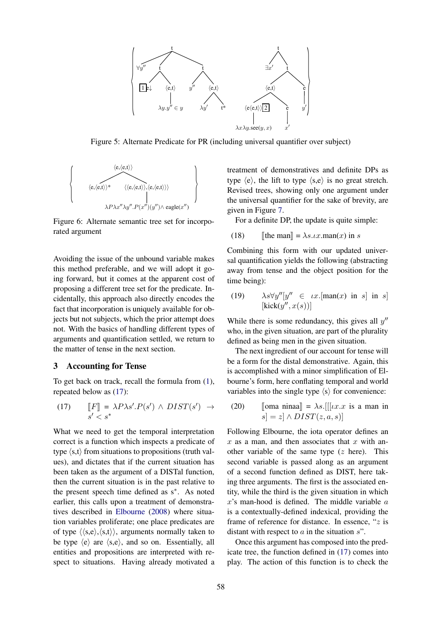

Figure 5: Alternate Predicate for PR (including universal quantifier over subject)

$$
\left\{\begin{array}{c}\langle e,\langle e,t\rangle\rangle\\ \langle e,\langle e,t\rangle\rangle^*\\ \langle e,\langle e,t\rangle\rangle,\langle e,\langle e,t\rangle\rangle\rangle\\ \langle\langle e,\langle e,t\rangle\rangle,\langle e,\langle e,t\rangle\rangle\rangle\\ \lambda P\lambda x''\lambda y''.P(x'')(y'')\wedge\text{eagle}(x'')\end{array}\right\}
$$

Figure 6: Alternate semantic tree set for incorporated argument

Avoiding the issue of the unbound variable makes this method preferable, and we will adopt it going forward, but it comes at the apparent cost of proposing a different tree set for the predicate. Incidentally, this approach also directly encodes the fact that incorporation is uniquely available for objects but not subjects, which the prior attempt does not. With the basics of handling different types of arguments and quantification settled, we return to the matter of tense in the next section.

#### 3 Accounting for Tense

To get back on track, recall the formula from (1), repeated below as (17):

$$
\begin{array}{lll}\n\text{(17)} & \quad \llbracket F \rrbracket = \lambda P \lambda s'.P(s') \land DIST(s') \rightarrow \\
s' < s^* & \n\end{array}
$$

What we need to get the temporal interpretation correct is a function which inspects a predicate of type  $\langle s,t \rangle$  from situations to propositions (truth values), and dictates that if the current situation has been taken as the argument of a DISTal function, then the current situation is in the past relative to the present speech time defined as s∗ . As noted earlier, this calls upon a treatment of demonstratives described in Elbourne (2008) where situation variables proliferate; one place predicates are of type  $\langle \langle s,e \rangle, \langle s,t \rangle \rangle$ , arguments normally taken to be type  $\langle e \rangle$  are  $\langle s,e \rangle$ , and so on. Essentially, all entities and propositions are interpreted with respect to situations. Having already motivated a

treatment of demonstratives and definite DPs as type  $\langle e \rangle$ , the lift to type  $\langle s,e \rangle$  is no great stretch. Revised trees, showing only one argument under the universal quantifier for the sake of brevity, are given in Figure 7.

For a definite DP, the update is quite simple:

(18) [the man] = 
$$
\lambda s \cdot \lambda x
$$
 .man(x) in s

Combining this form with our updated universal quantification yields the following (abstracting away from tense and the object position for the time being):

(19) 
$$
\lambda s \forall y''[y'' \in \iota x.[\text{man}(x) \text{ in } s] \text{ in } s]
$$

$$
[\text{kick}(y'', x(s))]
$$

While there is some redundancy, this gives all  $y''$ who, in the given situation, are part of the plurality defined as being men in the given situation.

The next ingredient of our account for tense will be a form for the distal demonstrative. Again, this is accomplished with a minor simplification of Elbourne's form, here conflating temporal and world variables into the single type  $\langle s \rangle$  for convenience:

(20) 
$$
\text{[oma ninaa]} = \lambda s. [[[ux.x \text{ is a man in } s] = z] \wedge DIST(x, a, s)]
$$

Following Elbourne, the iota operator defines an  $x$  as a man, and then associates that  $x$  with another variable of the same type  $(z$  here). This second variable is passed along as an argument of a second function defined as DIST, here taking three arguments. The first is the associated entity, while the third is the given situation in which  $x$ 's man-hood is defined. The middle variable  $a$ is a contextually-defined indexical, providing the frame of reference for distance. In essence, " $z$  is distant with respect to  $a$  in the situation  $s$ ".

Once this argument has composed into the predicate tree, the function defined in (17) comes into play. The action of this function is to check the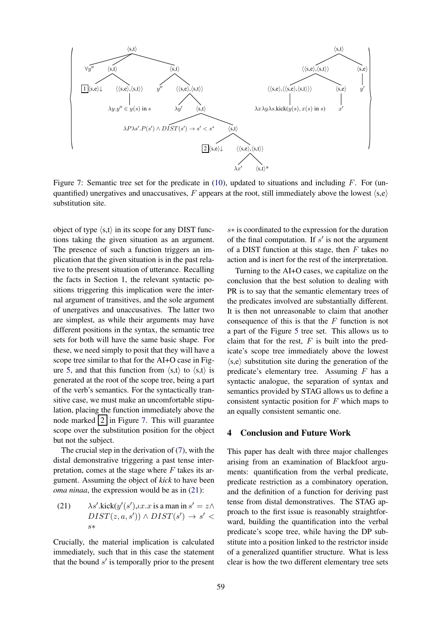

Figure 7: Semantic tree set for the predicate in  $(10)$ , updated to situations and including F. For (unquantified) unergatives and unaccusatives, F appears at the root, still immediately above the lowest  $\langle s, e \rangle$ substitution site.

object of type  $\langle s,t \rangle$  in its scope for any DIST functions taking the given situation as an argument. The presence of such a function triggers an implication that the given situation is in the past relative to the present situation of utterance. Recalling the facts in Section 1, the relevant syntactic positions triggering this implication were the internal argument of transitives, and the sole argument of unergatives and unaccusatives. The latter two are simplest, as while their arguments may have different positions in the syntax, the semantic tree sets for both will have the same basic shape. For these, we need simply to posit that they will have a scope tree similar to that for the AI+O case in Figure 5, and that this function from  $\langle s,t \rangle$  to  $\langle s,t \rangle$  is generated at the root of the scope tree, being a part of the verb's semantics. For the syntactically transitive case, we must make an uncomfortable stipulation, placing the function immediately above the node marked  $2 \ln$  Figure 7. This will guarantee scope over the substitution position for the object but not the subject.

The crucial step in the derivation of (7), with the distal demonstrative triggering a past tense interpretation, comes at the stage where  $F$  takes its argument. Assuming the object of *kick* to have been *oma ninaa*, the expression would be as in (21):

(21) 
$$
\lambda s'.\text{kick}(y'(s'), \iota x. x \text{ is a man in } s' = z \land
$$

$$
DIST(z, a, s')) \land DIST(s') \rightarrow s' < s*
$$

Crucially, the material implication is calculated immediately, such that in this case the statement that the bound  $s'$  is temporally prior to the present

s∗ is coordinated to the expression for the duration of the final computation. If  $s'$  is not the argument of a DIST function at this stage, then  $F$  takes no action and is inert for the rest of the interpretation.

Turning to the AI+O cases, we capitalize on the conclusion that the best solution to dealing with PR is to say that the semantic elementary trees of the predicates involved are substantially different. It is then not unreasonable to claim that another consequence of this is that the  $F$  function is not a part of the Figure 5 tree set. This allows us to claim that for the rest,  $F$  is built into the predicate's scope tree immediately above the lowest  $\langle s,e \rangle$  substitution site during the generation of the predicate's elementary tree. Assuming  $F$  has a syntactic analogue, the separation of syntax and semantics provided by STAG allows us to define a consistent syntactic position for  $F$  which maps to an equally consistent semantic one.

## 4 Conclusion and Future Work

This paper has dealt with three major challenges arising from an examination of Blackfoot arguments: quantification from the verbal predicate, predicate restriction as a combinatory operation, and the definition of a function for deriving past tense from distal demonstratives. The STAG approach to the first issue is reasonably straightforward, building the quantification into the verbal predicate's scope tree, while having the DP substitute into a position linked to the restrictor inside of a generalized quantifier structure. What is less clear is how the two different elementary tree sets